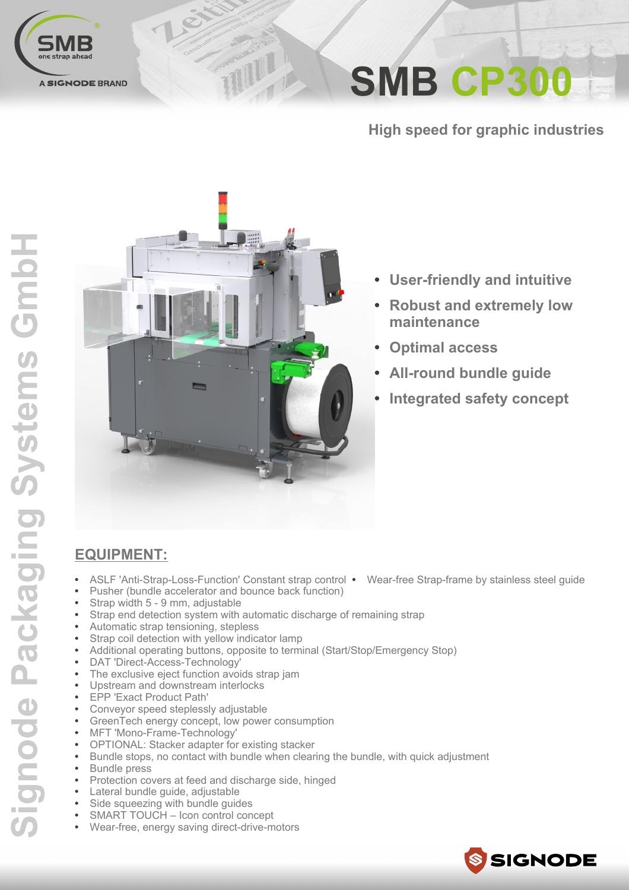

**SMB CP300** 

**High speed for graphic industries** 



TILL

- **User-friendly and intuitive**  $\bullet$
- **Robust and extremely low** maintenance
- **Optimal access**
- **All-round bundle quide**
- **Integrated safety concept**

### **EQUIPMENT:**

- ASLF 'Anti-Strap-Loss-Function' Constant strap control Wear-free Strap-frame by stainless steel quide
- Pusher (bundle accelerator and bounce back function)
- Strap width 5 9 mm, adjustable
- Strap end detection system with automatic discharge of remaining strap
- Automatic strap tensioning, stepless
- Strap coil detection with yellow indicator lamp
- Additional operating buttons, opposite to terminal (Start/Stop/Emergency Stop)
- DAT 'Direct-Access-Technology'
- The exclusive eject function avoids strap jam
- Upstream and downstream interlocks
- EPP 'Exact Product Path'
- Conveyor speed steplessly adjustable
- GreenTech energy concept, low power consumption
- MFT 'Mono-Frame-Technology'
- OPTIONAL: Stacker adapter for existing stacker
- $\bullet$ Bundle stops, no contact with bundle when clearing the bundle, with quick adjustment
- **Bundle** press
- Protection covers at feed and discharge side, hinged
- Lateral bundle guide, adjustable
- Side squeezing with bundle quides
- SMART TOUCH Icon control concept Wear-free, energy saving direct-drive-motors

SSIGNODE